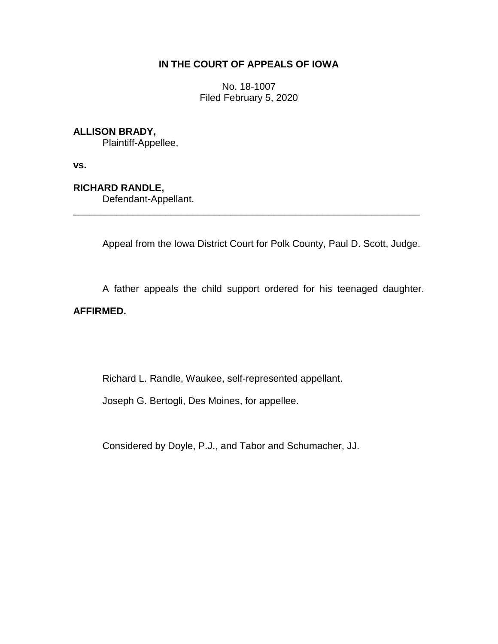## **IN THE COURT OF APPEALS OF IOWA**

No. 18-1007 Filed February 5, 2020

## **ALLISON BRADY,**

Plaintiff-Appellee,

**vs.**

# **RICHARD RANDLE,**

Defendant-Appellant.

Appeal from the Iowa District Court for Polk County, Paul D. Scott, Judge.

\_\_\_\_\_\_\_\_\_\_\_\_\_\_\_\_\_\_\_\_\_\_\_\_\_\_\_\_\_\_\_\_\_\_\_\_\_\_\_\_\_\_\_\_\_\_\_\_\_\_\_\_\_\_\_\_\_\_\_\_\_\_\_\_

A father appeals the child support ordered for his teenaged daughter.

## **AFFIRMED.**

Richard L. Randle, Waukee, self-represented appellant.

Joseph G. Bertogli, Des Moines, for appellee.

Considered by Doyle, P.J., and Tabor and Schumacher, JJ.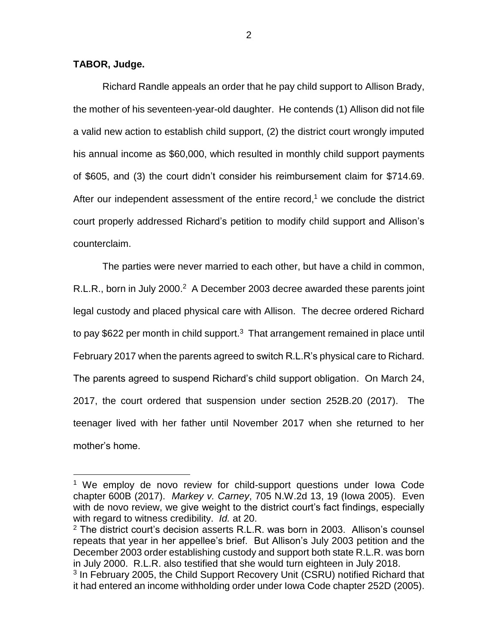#### **TABOR, Judge.**

 $\overline{a}$ 

Richard Randle appeals an order that he pay child support to Allison Brady, the mother of his seventeen-year-old daughter. He contends (1) Allison did not file a valid new action to establish child support, (2) the district court wrongly imputed his annual income as \$60,000, which resulted in monthly child support payments of \$605, and (3) the court didn't consider his reimbursement claim for \$714.69. After our independent assessment of the entire record, $1$  we conclude the district court properly addressed Richard's petition to modify child support and Allison's counterclaim.

The parties were never married to each other, but have a child in common, R.L.R., born in July 2000.<sup>2</sup> A December 2003 decree awarded these parents joint legal custody and placed physical care with Allison. The decree ordered Richard to pay \$622 per month in child support.<sup>3</sup> That arrangement remained in place until February 2017 when the parents agreed to switch R.L.R's physical care to Richard. The parents agreed to suspend Richard's child support obligation. On March 24, 2017, the court ordered that suspension under section 252B.20 (2017). The teenager lived with her father until November 2017 when she returned to her mother's home.

<sup>&</sup>lt;sup>1</sup> We employ de novo review for child-support questions under lowa Code chapter 600B (2017). *Markey v. Carney*, 705 N.W.2d 13, 19 (Iowa 2005). Even with de novo review, we give weight to the district court's fact findings, especially with regard to witness credibility. *Id.* at 20.

<sup>&</sup>lt;sup>2</sup> The district court's decision asserts R.L.R. was born in 2003. Allison's counsel repeats that year in her appellee's brief. But Allison's July 2003 petition and the December 2003 order establishing custody and support both state R.L.R. was born in July 2000. R.L.R. also testified that she would turn eighteen in July 2018.

<sup>&</sup>lt;sup>3</sup> In February 2005, the Child Support Recovery Unit (CSRU) notified Richard that it had entered an income withholding order under Iowa Code chapter 252D (2005).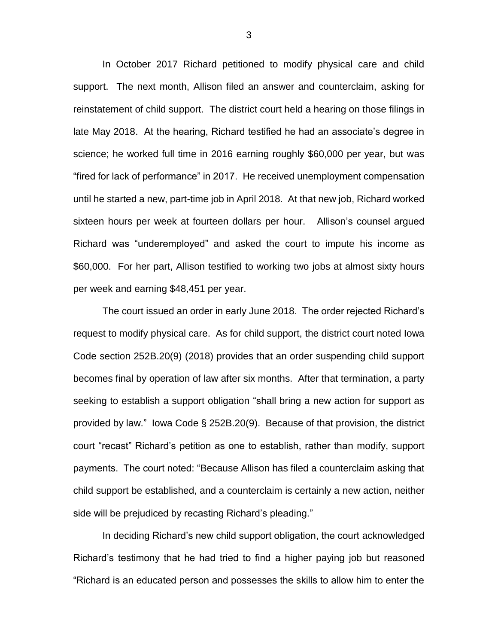In October 2017 Richard petitioned to modify physical care and child support. The next month, Allison filed an answer and counterclaim, asking for reinstatement of child support. The district court held a hearing on those filings in late May 2018. At the hearing, Richard testified he had an associate's degree in science; he worked full time in 2016 earning roughly \$60,000 per year, but was "fired for lack of performance" in 2017. He received unemployment compensation until he started a new, part-time job in April 2018. At that new job, Richard worked sixteen hours per week at fourteen dollars per hour. Allison's counsel argued Richard was "underemployed" and asked the court to impute his income as \$60,000. For her part, Allison testified to working two jobs at almost sixty hours per week and earning \$48,451 per year.

The court issued an order in early June 2018. The order rejected Richard's request to modify physical care. As for child support, the district court noted Iowa Code section 252B.20(9) (2018) provides that an order suspending child support becomes final by operation of law after six months. After that termination, a party seeking to establish a support obligation "shall bring a new action for support as provided by law." Iowa Code § 252B.20(9). Because of that provision, the district court "recast" Richard's petition as one to establish, rather than modify, support payments. The court noted: "Because Allison has filed a counterclaim asking that child support be established, and a counterclaim is certainly a new action, neither side will be prejudiced by recasting Richard's pleading."

In deciding Richard's new child support obligation, the court acknowledged Richard's testimony that he had tried to find a higher paying job but reasoned "Richard is an educated person and possesses the skills to allow him to enter the

3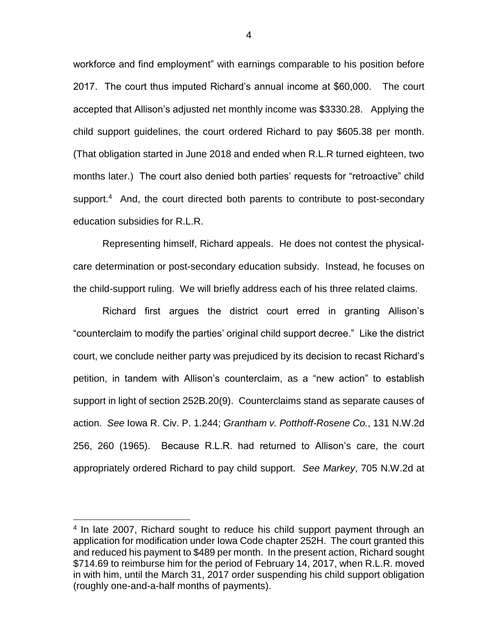workforce and find employment" with earnings comparable to his position before 2017. The court thus imputed Richard's annual income at \$60,000. The court accepted that Allison's adjusted net monthly income was \$3330.28. Applying the child support guidelines, the court ordered Richard to pay \$605.38 per month. (That obligation started in June 2018 and ended when R.L.R turned eighteen, two months later.) The court also denied both parties' requests for "retroactive" child support.<sup>4</sup> And, the court directed both parents to contribute to post-secondary education subsidies for R.L.R.

Representing himself, Richard appeals. He does not contest the physicalcare determination or post-secondary education subsidy. Instead, he focuses on the child-support ruling. We will briefly address each of his three related claims.

Richard first argues the district court erred in granting Allison's "counterclaim to modify the parties' original child support decree." Like the district court, we conclude neither party was prejudiced by its decision to recast Richard's petition, in tandem with Allison's counterclaim, as a "new action" to establish support in light of section 252B.20(9). Counterclaims stand as separate causes of action. *See* Iowa R. Civ. P. 1.244; *Grantham v. Potthoff-Rosene Co.*, 131 N.W.2d 256, 260 (1965). Because R.L.R. had returned to Allison's care, the court appropriately ordered Richard to pay child support. *See Markey*, 705 N.W.2d at

 $\overline{a}$ 

<sup>&</sup>lt;sup>4</sup> In late 2007, Richard sought to reduce his child support payment through an application for modification under Iowa Code chapter 252H. The court granted this and reduced his payment to \$489 per month. In the present action, Richard sought \$714.69 to reimburse him for the period of February 14, 2017, when R.L.R. moved in with him, until the March 31, 2017 order suspending his child support obligation (roughly one-and-a-half months of payments).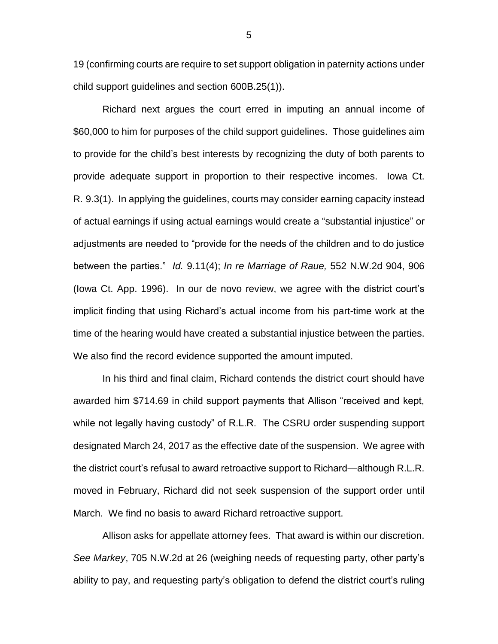19 (confirming courts are require to set support obligation in paternity actions under child support guidelines and section 600B.25(1)).

Richard next argues the court erred in imputing an annual income of \$60,000 to him for purposes of the child support guidelines. Those guidelines aim to provide for the child's best interests by recognizing the duty of both parents to provide adequate support in proportion to their respective incomes. Iowa Ct. R. 9.3(1). In applying the guidelines, courts may consider earning capacity instead of actual earnings if using actual earnings would create a "substantial injustice" or adjustments are needed to "provide for the needs of the children and to do justice between the parties." *Id.* 9.11(4); *In re Marriage of Raue,* 552 N.W.2d 904, 906 (Iowa Ct. App. 1996). In our de novo review, we agree with the district court's implicit finding that using Richard's actual income from his part-time work at the time of the hearing would have created a substantial injustice between the parties. We also find the record evidence supported the amount imputed.

In his third and final claim, Richard contends the district court should have awarded him \$714.69 in child support payments that Allison "received and kept, while not legally having custody" of R.L.R. The CSRU order suspending support designated March 24, 2017 as the effective date of the suspension. We agree with the district court's refusal to award retroactive support to Richard—although R.L.R. moved in February, Richard did not seek suspension of the support order until March. We find no basis to award Richard retroactive support.

Allison asks for appellate attorney fees. That award is within our discretion. *See Markey*, 705 N.W.2d at 26 (weighing needs of requesting party, other party's ability to pay, and requesting party's obligation to defend the district court's ruling

5